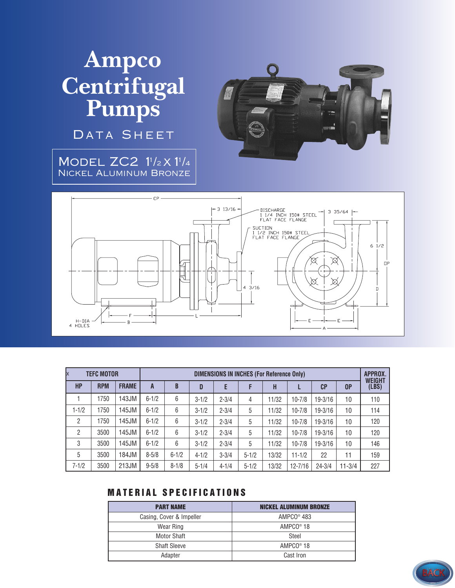# **Ampco Centrifugal Pumps**

DATA SHEET

MODEL ZC2 1<sup>1</sup>/2 X 1<sup>1</sup>/4 Nickel Aluminum Bronze





| X<br><b>TEFC MOTOR</b> |            |              | <b>DIMENSIONS IN INCHES (For Reference Only)</b> |           |           |           |           |       |             |                |            | APPROX.                |
|------------------------|------------|--------------|--------------------------------------------------|-----------|-----------|-----------|-----------|-------|-------------|----------------|------------|------------------------|
| <b>HP</b>              | <b>RPM</b> | <b>FRAME</b> | A                                                | B         | D         | Е         | F         | Н     |             | C <sub>P</sub> | 0P         | <b>WEIGHT</b><br>(LBS) |
|                        | 1750       | 143JM        | $6 - 1/2$                                        | 6         | $3 - 1/2$ | $2 - 3/4$ | 4         | 11/32 | $10 - 7/8$  | $19 - 3/16$    | 10         | 110                    |
| $1 - 1/2$              | 1750       | 145JM        | $6 - 1/2$                                        | 6         | $3 - 1/2$ | $2 - 3/4$ | 5         | 11/32 | $10 - 7/8$  | $19 - 3/16$    | 10         | 114                    |
| 2                      | 1750       | 145JM        | $6 - 1/2$                                        | 6         | $3 - 1/2$ | $2 - 3/4$ | 5         | 11/32 | $10 - 7/8$  | $19 - 3/16$    | 10         | 120                    |
| 2                      | 3500       | 145JM        | $6 - 1/2$                                        | 6         | $3 - 1/2$ | $2 - 3/4$ | 5         | 11/32 | $10 - 7/8$  | $19 - 3/16$    | 10         | 120                    |
| 3                      | 3500       | 145JM        | $6 - 1/2$                                        | 6         | $3 - 1/2$ | $2 - 3/4$ | 5         | 11/32 | $10 - 7/8$  | $19 - 3/16$    | 10         | 146                    |
| 5                      | 3500       | 184JM        | $8 - 5/8$                                        | $6 - 1/2$ | $4 - 1/2$ | $3 - 3/4$ | $5 - 1/2$ | 13/32 | $11 - 1/2$  | 22             | 11         | 159                    |
| $7 - 1/2$              | 3500       | 213JM        | $9 - 5/8$                                        | $8 - 1/8$ | $5 - 1/4$ | $4 - 1/4$ | $5 - 1/2$ | 13/32 | $12 - 7/16$ | $24 - 3/4$     | $11 - 3/4$ | 227                    |

### **MATERIAL SPECIFICATIONS**

| <b>PART NAME</b>         | <b>NICKEL ALUMINUM BRONZE</b> |  |  |  |  |
|--------------------------|-------------------------------|--|--|--|--|
| Casing, Cover & Impeller | $AMPCO®$ 483                  |  |  |  |  |
| Wear Ring                | AMPCO <sup>®</sup> 18         |  |  |  |  |
| <b>Motor Shaft</b>       | Steel                         |  |  |  |  |
| <b>Shaft Sleeve</b>      | AMPCO <sup>®</sup> 18         |  |  |  |  |
| Adapter                  | Cast Iron                     |  |  |  |  |